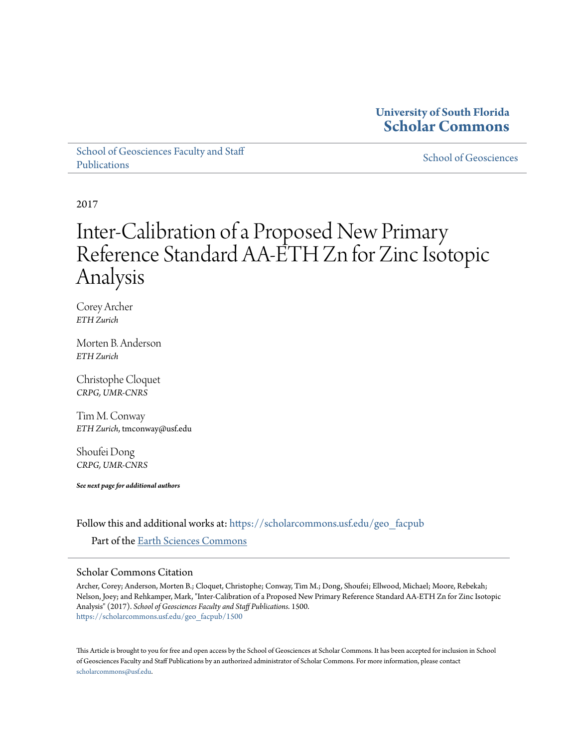## **University of South Florida [Scholar Commons](https://scholarcommons.usf.edu?utm_source=scholarcommons.usf.edu%2Fgeo_facpub%2F1500&utm_medium=PDF&utm_campaign=PDFCoverPages)**

[School of Geosciences Faculty and Staff](https://scholarcommons.usf.edu/geo_facpub?utm_source=scholarcommons.usf.edu%2Fgeo_facpub%2F1500&utm_medium=PDF&utm_campaign=PDFCoverPages) [Publications](https://scholarcommons.usf.edu/geo_facpub?utm_source=scholarcommons.usf.edu%2Fgeo_facpub%2F1500&utm_medium=PDF&utm_campaign=PDFCoverPages)

[School of Geosciences](https://scholarcommons.usf.edu/geo?utm_source=scholarcommons.usf.edu%2Fgeo_facpub%2F1500&utm_medium=PDF&utm_campaign=PDFCoverPages)

2017

# Inter-Calibration of a Proposed New Primary Reference Standard AA-ETH Zn for Zinc Isotopic Analysis

Corey Archer *ETH Zurich*

Morten B. Anderson *ETH Zurich*

Christophe Cloquet *CRPG, UMR-CNRS*

Tim M. Conway *ETH Zurich*, tmconway@usf.edu

Shoufei Dong *CRPG, UMR-CNRS*

*See next page for additional authors*

Follow this and additional works at: [https://scholarcommons.usf.edu/geo\\_facpub](https://scholarcommons.usf.edu/geo_facpub?utm_source=scholarcommons.usf.edu%2Fgeo_facpub%2F1500&utm_medium=PDF&utm_campaign=PDFCoverPages)

Part of the [Earth Sciences Commons](http://network.bepress.com/hgg/discipline/153?utm_source=scholarcommons.usf.edu%2Fgeo_facpub%2F1500&utm_medium=PDF&utm_campaign=PDFCoverPages)

### Scholar Commons Citation

Archer, Corey; Anderson, Morten B.; Cloquet, Christophe; Conway, Tim M.; Dong, Shoufei; Ellwood, Michael; Moore, Rebekah; Nelson, Joey; and Rehkamper, Mark, "Inter-Calibration of a Proposed New Primary Reference Standard AA-ETH Zn for Zinc Isotopic Analysis" (2017). *School of Geosciences Faculty and Staff Publications*. 1500. [https://scholarcommons.usf.edu/geo\\_facpub/1500](https://scholarcommons.usf.edu/geo_facpub/1500?utm_source=scholarcommons.usf.edu%2Fgeo_facpub%2F1500&utm_medium=PDF&utm_campaign=PDFCoverPages)

This Article is brought to you for free and open access by the School of Geosciences at Scholar Commons. It has been accepted for inclusion in School of Geosciences Faculty and Staff Publications by an authorized administrator of Scholar Commons. For more information, please contact [scholarcommons@usf.edu](mailto:scholarcommons@usf.edu).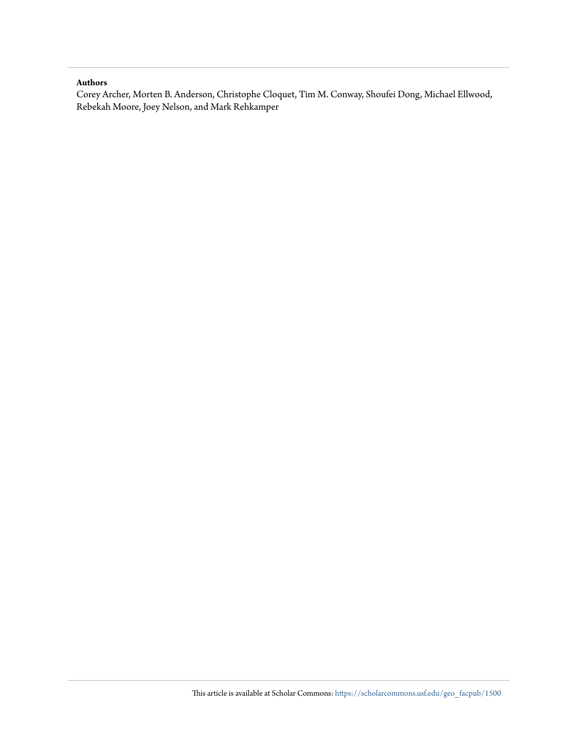### **Authors**

Corey Archer, Morten B. Anderson, Christophe Cloquet, Tim M. Conway, Shoufei Dong, Michael Ellwood, Rebekah Moore, Joey Nelson, and Mark Rehkamper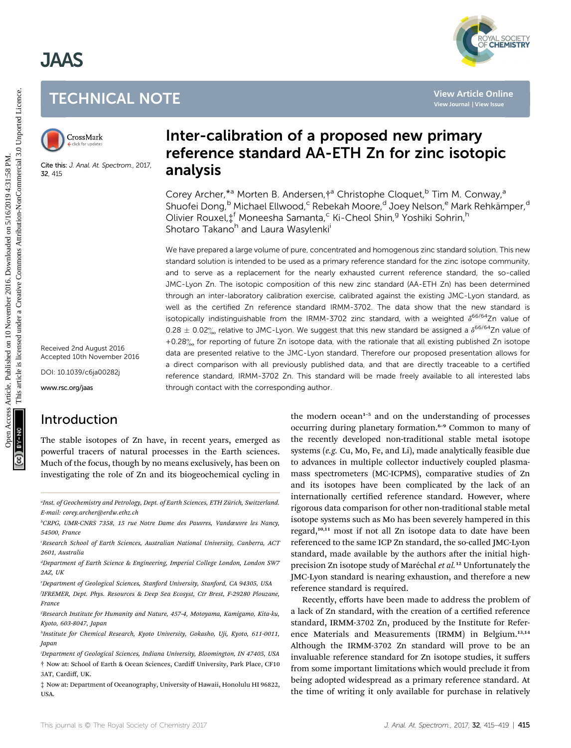# JAAS





Cite this: J. Anal. At. Spectrom., 2017, 32, 415

Received 2nd August 2016 Accepted 10th November 2016

DOI: 10.1039/c6ja00282j

www.rsc.org/jaas

# Introduction

The stable isotopes of Zn have, in recent years, emerged as powerful tracers of natural processes in the Earth sciences. Much of the focus, though by no means exclusively, has been on investigating the role of Zn and its biogeochemical cycling in

a Inst. of Geochemistry and Petrology, Dept. of Earth Sciences, ETH Zurich, Switzerland. ¨ E-mail: corey.archer@erdw.ethz.ch

b CRPG, UMR-CNRS 7358, 15 rue Notre Dame des Pauvres, Vandœuvre les Nancy, 54500, France

c Research School of Earth Sciences, Australian National University, Canberra, ACT 2601, Australia

<sup>a</sup>Department of Earth Science & Engineering, Imperial College London, London SW7 2AZ, UK

e Department of Geological Sciences, Stanford University, Stanford, CA 94305, USA

f IFREMER, Dept. Phys. Resources & Deep Sea Ecosyst, Ctr Brest, F-29280 Plouzane, France

g Research Institute for Humanity and Nature, 457-4, Motoyama, Kamigamo, Kita-ku, Kyoto, 603-8047, Japan

h Institute for Chemical Research, Kyoto University, Gokasho, Uji, Kyoto, 611-0011, Japan

i Department of Geological Sciences, Indiana University, Bloomington, IN 47405, USA † Now at: School of Earth & Ocean Sciences, Cardiff University, Park Place, CF10 3AT, Cardiff, UK.

‡ Now at: Department of Oceanography, University of Hawaii, Honolulu HI 96822, USA.

# Inter-calibration of a proposed new primary reference standard AA-ETH Zn for zinc isotopic analysis

Corey Archer,\*<sup>a</sup> Morten B. Andersen, †<sup>a</sup> Christophe Cloquet,<sup>b</sup> Tim M. Conway,<sup>a</sup> Shuofei Dong,<sup>b</sup> Michael Ellwood,<sup>c</sup> Rebekah Moore,<sup>d</sup> Joey Nelson,<sup>e</sup> Mark Rehkämper,<sup>d</sup> Olivier Rouxel, <sup>f</sup> Moneesha Samanta,<sup>c</sup> Ki-Cheol Shin,<sup>g</sup> Yoshiki Sohrin,<sup>h</sup> Shotaro Takano<sup>h</sup> and Laura Wasylenki<sup>i</sup>

We have prepared a large volume of pure, concentrated and homogenous zinc standard solution. This new standard solution is intended to be used as a primary reference standard for the zinc isotope community, and to serve as a replacement for the nearly exhausted current reference standard, the so-called JMC-Lyon Zn. The isotopic composition of this new zinc standard (AA-ETH Zn) has been determined through an inter-laboratory calibration exercise, calibrated against the existing JMC-Lyon standard, as well as the certified Zn reference standard IRMM-3702. The data show that the new standard is isotopically indistinguishable from the IRMM-3702 zinc standard, with a weighted  $\delta^{66/64}$ Zn value of  $0.28 \pm 0.02\%$  relative to JMC-Lyon. We suggest that this new standard be assigned a  $\delta^{66/64}$ Zn value of +0.28 $\%$  for reporting of future Zn isotope data, with the rationale that all existing published Zn isotope data are presented relative to the JMC-Lyon standard. Therefore our proposed presentation allows for a direct comparison with all previously published data, and that are directly traceable to a certified reference standard, IRMM-3702 Zn. This standard will be made freely available to all interested labs through contact with the corresponding author. TECHNICAL NOTE<br>
SURFAINION CONSULTED THE CONDUCTION CONSULTED THE SURFAINING ONE CONSULTED CONSULTED THE SURFAINING CONSULTED THE SURFAINING CONSULTED SURFAINING CONSULTED THE SURFAINING CONSULTED THE SURFAINING SURFAININ

the modern ocean<sup>1-5</sup> and on the understanding of processes occurring during planetary formation.<sup>6</sup>–<sup>9</sup> Common to many of the recently developed non-traditional stable metal isotope systems (e.g. Cu, Mo, Fe, and Li), made analytically feasible due to advances in multiple collector inductively coupled plasmamass spectrometers (MC-ICPMS), comparative studies of Zn and its isotopes have been complicated by the lack of an internationally certified reference standard. However, where rigorous data comparison for other non-traditional stable metal isotope systems such as Mo has been severely hampered in this regard,10,11 most if not all Zn isotope data to date have been referenced to the same ICP Zn standard, the so-called JMC-Lyon standard, made available by the authors after the initial highprecision Zn isotope study of Maréchal et al.<sup>12</sup> Unfortunately the JMC-Lyon standard is nearing exhaustion, and therefore a new reference standard is required.

Recently, efforts have been made to address the problem of a lack of Zn standard, with the creation of a certified reference standard, IRMM-3702 Zn, produced by the Institute for Reference Materials and Measurements (IRMM) in Belgium.<sup>13,14</sup> Although the IRMM-3702 Zn standard will prove to be an invaluable reference standard for Zn isotope studies, it suffers from some important limitations which would preclude it from being adopted widespread as a primary reference standard. At the time of writing it only available for purchase in relatively

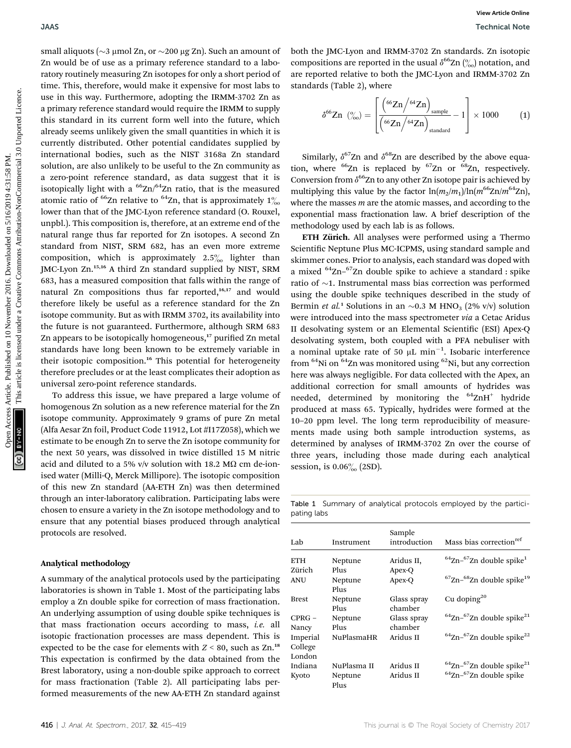small aliquots ( $\sim$ 3 µmol Zn, or  $\sim$ 200 µg Zn). Such an amount of Zn would be of use as a primary reference standard to a laboratory routinely measuring Zn isotopes for only a short period of time. This, therefore, would make it expensive for most labs to use in this way. Furthermore, adopting the IRMM-3702 Zn as a primary reference standard would require the IRMM to supply this standard in its current form well into the future, which already seems unlikely given the small quantities in which it is currently distributed. Other potential candidates supplied by international bodies, such as the NIST 3168a Zn standard solution, are also unlikely to be useful to the Zn community as a zero-point reference standard, as data suggest that it is isotopically light with a  $^{66}$ Zn/ $^{64}$ Zn ratio, that is the measured atomic ratio of <sup>66</sup>Zn relative to <sup>64</sup>Zn, that is approximately  $1\%$ lower than that of the JMC-Lyon reference standard (O. Rouxel, unpbl.). This composition is, therefore, at an extreme end of the natural range thus far reported for Zn isotopes. A second Zn standard from NIST, SRM 682, has an even more extreme composition, which is approximately  $2.5\%$  lighter than JMC-Lyon Zn.15,16 A third Zn standard supplied by NIST, SRM 683, has a measured composition that falls within the range of natural Zn compositions thus far reported,<sup>16,17</sup> and would therefore likely be useful as a reference standard for the Zn isotope community. But as with IRMM 3702, its availability into the future is not guaranteed. Furthermore, although SRM 683 Zn appears to be isotopically homogeneous,<sup>17</sup> purified Zn metal standards have long been known to be extremely variable in their isotopic composition.<sup>16</sup> This potential for heterogeneity therefore precludes or at the least complicates their adoption as universal zero-point reference standards. **Observation Access Article Commutation** Access Article 2016. Downloaded the commutation of the commutation of the commutation of the commutation of the commutation of the commutation of the commutation of the commutation

To address this issue, we have prepared a large volume of homogenous Zn solution as a new reference material for the Zn isotope community. Approximately 9 grams of pure Zn metal (Alfa Aesar Zn foil, Product Code 11912, Lot #I17Z058), which we estimate to be enough Zn to serve the Zn isotope community for the next 50 years, was dissolved in twice distilled 15 M nitric acid and diluted to a 5% v/v solution with 18.2 M $\Omega$  cm de-ionised water (Milli-Q, Merck Millipore). The isotopic composition of this new Zn standard (AA-ETH Zn) was then determined through an inter-laboratory calibration. Participating labs were chosen to ensure a variety in the Zn isotope methodology and to ensure that any potential biases produced through analytical protocols are resolved.

#### Analytical methodology

A summary of the analytical protocols used by the participating laboratories is shown in Table 1. Most of the participating labs employ a Zn double spike for correction of mass fractionation. An underlying assumption of using double spike techniques is that mass fractionation occurs according to mass, i.e. all isotopic fractionation processes are mass dependent. This is expected to be the case for elements with  $Z \le 80$ , such as  $Zn<sup>18</sup>$ This expectation is confirmed by the data obtained from the Brest laboratory, using a non-double spike approach to correct for mass fractionation (Table 2). All participating labs performed measurements of the new AA-ETH Zn standard against

both the JMC-Lyon and IRMM-3702 Zn standards. Zn isotopic compositions are reported in the usual  $\delta^{66}$ Zn  $\binom{6}{00}$  notation, and are reported relative to both the JMC-Lyon and IRMM-3702 Zn standards (Table 2), where

$$
\delta^{66} \text{Zn} \ \left( \frac{\%}{\% \text{o}} \right) = \left[ \frac{\left( \frac{66 \text{Zn}}{\% \text{Zn}} \right)_{\text{sample}}}{\left( \frac{66 \text{Zn}}{\% \text{Zn}} \right)_{\text{standard}}} - 1 \right] \times 1000 \tag{1}
$$

Similarly,  $\delta^{67}$ Zn and  $\delta^{68}$ Zn are described by the above equation, where  $^{66}$ Zn is replaced by  $^{67}$ Zn or  $^{68}$ Zn, respectively. Conversion from  $\delta^{66}$ Zn to any other Zn isotope pair is achieved by multiplying this value by the factor  $\ln(m_2/m_1)/\ln(m^{66}Zn/m^{64}Zn)$ , where the masses  $m$  are the atomic masses, and according to the exponential mass fractionation law. A brief description of the methodology used by each lab is as follows.

ETH Zürich. All analyses were performed using a Thermo Scientific Neptune Plus MC-ICPMS, using standard sample and skimmer cones. Prior to analysis, each standard was doped with a mixed  ${}^{64}$ Zn– ${}^{67}$ Zn double spike to achieve a standard : spike ratio of  $\sim$ 1. Instrumental mass bias correction was performed using the double spike techniques described in the study of Bermin *et al.*<sup>1</sup> Solutions in an  $\sim 0.3$  M HNO<sub>3</sub> (2% v/v) solution were introduced into the mass spectrometer via a Cetac Aridus II desolvating system or an Elemental Scientific (ESI) Apex-Q desolvating system, both coupled with a PFA nebuliser with a nominal uptake rate of 50  $\mu$ L min<sup>-1</sup>. Isobaric interference from  ${}^{64}$ Ni on  ${}^{64}$ Zn was monitored using  ${}^{62}$ Ni, but any correction here was always negligible. For data collected with the Apex, an additional correction for small amounts of hydrides was needed, determined by monitoring the  $^{64}ZnH^+$  hydride produced at mass 65. Typically, hydrides were formed at the 10–20 ppm level. The long term reproducibility of measurements made using both sample introduction systems, as determined by analyses of IRMM-3702 Zn over the course of three years, including those made during each analytical session, is  $0.06\%$  (2SD).

Table 1 Summary of analytical protocols employed by the participating labs

| Lab                 | Instrument      | Sample<br>introduction | Mass bias correction <sup>ref</sup>                   |
|---------------------|-----------------|------------------------|-------------------------------------------------------|
| <b>ETH</b>          | Neptune         | Aridus II,             | $64$ Zn- $67$ Zn double spike <sup>1</sup>            |
| Zürich              | Plus            | Apex-Q                 |                                                       |
| ANU                 | Neptune<br>Plus | Apex-O                 | ${}^{67}$ Zn- ${}^{68}$ Zn double spike <sup>19</sup> |
| <b>Brest</b>        | Neptune<br>Plus | Glass spray<br>chamber | Cu doping <sup>20</sup>                               |
| $CPRG -$<br>Nancy   | Neptune<br>Plus | Glass spray<br>chamber | $64$ Zn- $67$ Zn double spike <sup>21</sup>           |
| Imperial<br>College | NuPlasmaHR      | Aridus II              | $64$ Zn- $67$ Zn double spike <sup>22</sup>           |
| London              |                 |                        |                                                       |
| Indiana             | NuPlasma II     | Aridus II              | $64$ Zn- $67$ Zn double spike <sup>21</sup>           |
| Kyoto               | Neptune<br>Plus | Aridus II              | $64$ Zn- $67$ Zn double spike                         |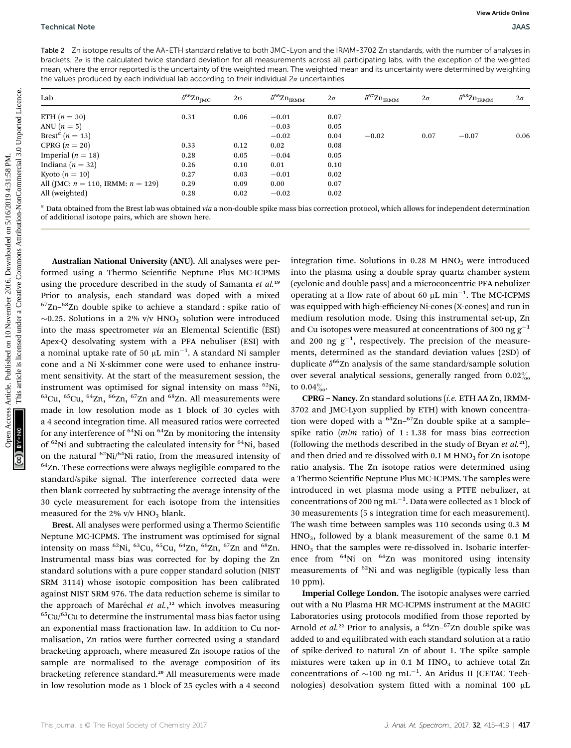Table 2 Zn isotope results of the AA-ETH standard relative to both JMC-Lyon and the IRMM-3702 Zn standards, with the number of analyses in brackets.  $2\sigma$  is the calculated twice standard deviation for all measurements across all participating labs, with the exception of the weighted mean, where the error reported is the uncertainty of the weighted mean. The weighted mean and its uncertainty were determined by weighting the values produced by each individual lab according to their individual  $2\sigma$  uncertainties

| Lab                                                                                                                                                                                                                                                                                                                    | $\delta^{66} \rm Zn_{JMC}$ | $2\sigma$    | $\delta^{66} \rm Zn_{\rm IRMM}$ | $2\sigma$    | $\delta^{67} Zn_{\rm IRMM}$ | $2\sigma$ | $\delta^{68} \rm Zn_{\rm IRMM}$                                                                                                                       | $2\sigma$ |
|------------------------------------------------------------------------------------------------------------------------------------------------------------------------------------------------------------------------------------------------------------------------------------------------------------------------|----------------------------|--------------|---------------------------------|--------------|-----------------------------|-----------|-------------------------------------------------------------------------------------------------------------------------------------------------------|-----------|
| ETH $(n=30)$                                                                                                                                                                                                                                                                                                           | 0.31                       | 0.06         | $-0.01$                         | 0.07         |                             |           |                                                                                                                                                       |           |
| ANU $(n=5)$                                                                                                                                                                                                                                                                                                            |                            |              | $-0.03$                         | 0.05         |                             |           |                                                                                                                                                       |           |
| Brest <sup>a</sup> ( $n = 13$ )                                                                                                                                                                                                                                                                                        |                            |              | $-0.02$                         | 0.04         | $-0.02$                     | 0.07      | $-0.07$                                                                                                                                               | 0.06      |
| CPRG $(n = 20)$                                                                                                                                                                                                                                                                                                        | 0.33                       | 0.12         | 0.02                            | 0.08         |                             |           |                                                                                                                                                       |           |
| Imperial ( $n = 18$ )                                                                                                                                                                                                                                                                                                  | 0.28                       | 0.05         | $-0.04$                         | 0.05         |                             |           |                                                                                                                                                       |           |
| Indiana ( $n = 32$ )                                                                                                                                                                                                                                                                                                   | 0.26                       | 0.10         | 0.01                            | 0.10         |                             |           |                                                                                                                                                       |           |
| Kyoto $(n = 10)$                                                                                                                                                                                                                                                                                                       | 0.27                       | 0.03         | $-0.01$                         | 0.02         |                             |           |                                                                                                                                                       |           |
| All (JMC: $n = 110$ , IRMM: $n = 129$ )<br>All (weighted)                                                                                                                                                                                                                                                              | 0.29<br>0.28               | 0.09<br>0.02 | 0.00<br>$-0.02$                 | 0.07<br>0.02 |                             |           |                                                                                                                                                       |           |
|                                                                                                                                                                                                                                                                                                                        |                            |              |                                 |              |                             |           |                                                                                                                                                       |           |
| Australian National University (ANU). All analyses were per-                                                                                                                                                                                                                                                           |                            |              |                                 |              |                             |           | integration time. Solutions in $0.28$ M HNO <sub>3</sub> were introduced                                                                              |           |
| formed using a Thermo Scientific Neptune Plus MC-ICPMS                                                                                                                                                                                                                                                                 |                            |              |                                 |              |                             |           | into the plasma using a double spray quartz chamber system                                                                                            |           |
| using the procedure described in the study of Samanta et al. <sup>19</sup>                                                                                                                                                                                                                                             |                            |              |                                 |              |                             |           | (cyclonic and double pass) and a microconcentric PFA nebulizer                                                                                        |           |
| Prior to analysis, each standard was doped with a mixed                                                                                                                                                                                                                                                                |                            |              |                                 |              |                             |           | operating at a flow rate of about 60 $\mu$ L min <sup>-1</sup> . The MC-ICPMS                                                                         |           |
| ${}^{67}Zn-{}^{68}Zn$ double spike to achieve a standard : spike ratio of                                                                                                                                                                                                                                              |                            |              |                                 |              |                             |           | was equipped with high-efficiency Ni-cones (X-cones) and run in                                                                                       |           |
| $\sim$ 0.25. Solutions in a 2% v/v HNO <sub>3</sub> solution were introduced                                                                                                                                                                                                                                           |                            |              |                                 |              |                             |           | medium resolution mode. Using this instrumental set-up, Zn                                                                                            |           |
|                                                                                                                                                                                                                                                                                                                        |                            |              |                                 |              |                             |           | and Cu isotopes were measured at concentrations of 300 ng $g^{-1}$                                                                                    |           |
|                                                                                                                                                                                                                                                                                                                        |                            |              |                                 |              |                             |           | and 200 ng $g^{-1}$ , respectively. The precision of the measure-                                                                                     |           |
| into the mass spectrometer via an Elemental Scientific (ESI)<br>Apex-Q desolvating system with a PFA nebuliser (ESI) with<br>a nominal uptake rate of 50 $\mu$ L min <sup>-1</sup> . A standard Ni sampler                                                                                                             |                            |              |                                 |              |                             |           | ments, determined as the standard deviation values (2SD) of                                                                                           |           |
|                                                                                                                                                                                                                                                                                                                        |                            |              |                                 |              |                             |           | duplicate $\delta^{66}$ Zn analysis of the same standard/sample solution                                                                              |           |
| cone and a Ni X-skimmer cone were used to enhance instru-<br>ment sensitivity. At the start of the measurement session, the                                                                                                                                                                                            |                            |              |                                 |              |                             |           | over several analytical sessions, generally ranged from $0.02\%$                                                                                      |           |
|                                                                                                                                                                                                                                                                                                                        |                            |              |                                 |              |                             |           |                                                                                                                                                       |           |
|                                                                                                                                                                                                                                                                                                                        |                            |              | to $0.04%$ .                    |              |                             |           |                                                                                                                                                       |           |
|                                                                                                                                                                                                                                                                                                                        |                            |              |                                 |              |                             |           | CPRG - Nancy. Zn standard solutions (i.e. ETH AA Zn, IRMM-                                                                                            |           |
|                                                                                                                                                                                                                                                                                                                        |                            |              |                                 |              |                             |           | 3702 and JMC-Lyon supplied by ETH) with known concentra-                                                                                              |           |
| instrument was optimised for signal intensity on mass <sup>62</sup> Ni,<br>${}^{63}$ Cu, ${}^{65}$ Cu, ${}^{64}$ Zn, ${}^{66}$ Zn, ${}^{67}$ Zn and ${}^{68}$ Zn. All measurements were<br>made in low resolution mode as 1 block of 30 cycles with<br>a 4 second integration time. All measured ratios were corrected |                            |              |                                 |              |                             |           | tion were doped with a $^{64}$ Zn- $^{67}$ Zn double spike at a sample-                                                                               |           |
| for any interference of ${}^{64}$ Ni on ${}^{64}$ Zn by monitoring the intensity<br>of ${}^{62}$ Ni and subtracting the calculated intensity for ${}^{64}$ Ni, based                                                                                                                                                   |                            |              |                                 |              |                             |           | spike ratio $(m/m$ ratio) of 1:1.38 for mass bias correction<br>(following the methods described in the study of Bryan <i>et al.</i> <sup>21</sup> ). |           |

Australian National University (ANU). All analyses were performed using a Thermo Scientific Neptune Plus MC-ICPMS using the procedure described in the study of Samanta et al.<sup>19</sup> Prior to analysis, each standard was doped with a mixed  ${}^{67}$ Zn– ${}^{68}$ Zn double spike to achieve a standard : spike ratio of  $\sim$ 0.25. Solutions in a 2% v/v HNO<sub>3</sub> solution were introduced into the mass spectrometer  $via$  an Elemental Scientific (ESI) Apex-Q desolvating system with a PFA nebuliser (ESI) with a nominal uptake rate of 50  $\mu$ L min $^{-1}$ . A standard Ni sampler cone and a Ni X-skimmer cone were used to enhance instrument sensitivity. At the start of the measurement session, the instrument was optimised for signal intensity on mass  ${}^{62}$ Ni,  $63Cu$ ,  $65Cu$ ,  $64Zn$ ,  $66Zn$ ,  $67Zn$  and  $68Zn$ . All measurements were made in low resolution mode as 1 block of 30 cycles with a 4 second integration time. All measured ratios were corrected for any interference of  $64$ Ni on  $64$ Zn by monitoring the intensity of <sup>62</sup>Ni and subtracting the calculated intensity for <sup>64</sup>Ni, based on the natural 62Ni/64Ni ratio, from the measured intensity of <sup>64</sup>Zn. These corrections were always negligible compared to the standard/spike signal. The interference corrected data were then blank corrected by subtracting the average intensity of the 30 cycle measurement for each isotope from the intensities measured for the 2% v/v  $HNO<sub>3</sub>$  blank.

Brest. All analyses were performed using a Thermo Scientific Neptune MC-ICPMS. The instrument was optimised for signal intensity on mass  ${}^{62}$ Ni,  ${}^{63}$ Cu,  ${}^{65}$ Cu,  ${}^{64}$ Zn,  ${}^{66}$ Zn,  ${}^{67}$ Zn and  ${}^{68}$ Zn. Instrumental mass bias was corrected for by doping the Zn standard solutions with a pure copper standard solution (NIST SRM 3114) whose isotopic composition has been calibrated against NIST SRM 976. The data reduction scheme is similar to the approach of Maréchal et al.,<sup>12</sup> which involves measuring  ${}^{65}$ Cu/ ${}^{63}$ Cu to determine the instrumental mass bias factor using an exponential mass fractionation law. In addition to Cu normalisation, Zn ratios were further corrected using a standard bracketing approach, where measured Zn isotope ratios of the sample are normalised to the average composition of its bracketing reference standard.<sup>20</sup> All measurements were made in low resolution mode as 1 block of 25 cycles with a 4 second

CPRG – Nancy. Zn standard solutions (i.e. ETH AA Zn, IRMM-3702 and JMC-Lyon supplied by ETH) with known concentration were doped with a  $^{64}$ Zn– $^{67}$ Zn double spike at a sample– spike ratio  $(m/m \text{ ratio})$  of 1:1.38 for mass bias correction (following the methods described in the study of Bryan et  $al.^{21}$ ), and then dried and re-dissolved with  $0.1$  M HNO<sub>3</sub> for Zn isotope ratio analysis. The Zn isotope ratios were determined using a Thermo Scientific Neptune Plus MC-ICPMS. The samples were introduced in wet plasma mode using a PTFE nebulizer, at concentrations of 200 ng  $mL^{-1}$ . Data were collected as 1 block of 30 measurements (5 s integration time for each measurement). The wash time between samples was 110 seconds using 0.3 M HNO3, followed by a blank measurement of the same 0.1 M  $HNO<sub>3</sub>$  that the samples were re-dissolved in. Isobaric interference from  $^{64}$ Ni on  $^{64}$ Zn was monitored using intensity measurements of  ${}^{62}$ Ni and was negligible (typically less than 10 ppm).

Imperial College London. The isotopic analyses were carried out with a Nu Plasma HR MC-ICPMS instrument at the MAGIC Laboratories using protocols modified from those reported by Arnold et al.<sup>22</sup> Prior to analysis, a  $^{64}$ Zn– $^{67}$ Zn double spike was added to and equilibrated with each standard solution at a ratio of spike-derived to natural Zn of about 1. The spike–sample mixtures were taken up in  $0.1$  M HNO<sub>3</sub> to achieve total Zn concentrations of  $\sim$ 100 ng mL<sup>-1</sup>. An Aridus II (CETAC Technologies) desolvation system fitted with a nominal 100  $\mu$ L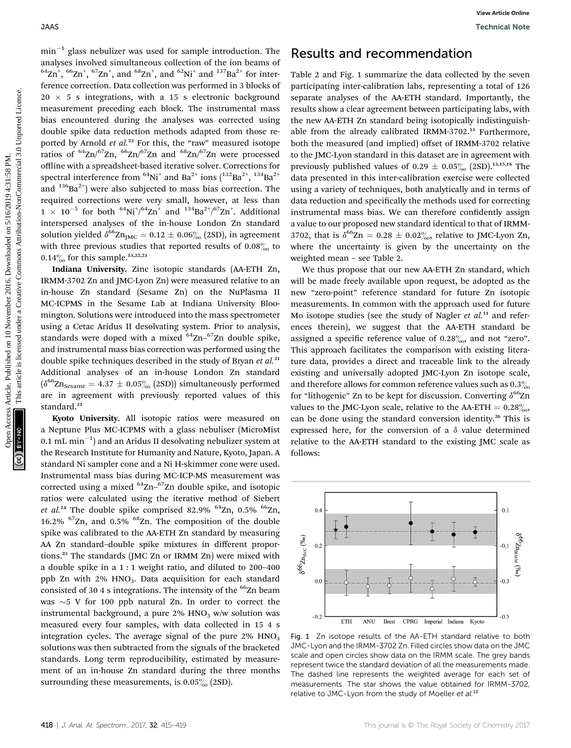$min^{-1}$  glass nebulizer was used for sample introduction. The analyses involved simultaneous collection of the ion beams of  ${}^{64}$ Zn<sup>+</sup>,  ${}^{66}$ Zn<sup>+</sup>,  ${}^{67}$ Zn<sup>+</sup>, and  ${}^{68}$ Zn<sup>+</sup>, and  ${}^{62}$ Ni<sup>+</sup> and  ${}^{137}$ Ba<sup>2+</sup> for interference correction. Data collection was performed in 3 blocks of  $20 \times 5$  s integrations, with a 15 s electronic background measurement preceding each block. The instrumental mass bias encountered during the analyses was corrected using double spike data reduction methods adapted from those reported by Arnold et al.<sup>22</sup> For this, the "raw" measured isotope ratios of  $^{64}$ Zn/ $^{67}$ Zn,  $^{66}$ Zn/ $^{67}$ Zn and  $^{68}$ Zn/ $^{67}$ Zn were processed offline with a spreadsheet-based iterative solver. Corrections for spectral interference from  ${}^{64}Ni^+$  and Ba<sup>2+</sup> ions  $(^{132}Ba^{2+}, {}^{134}Ba^{2+})$ and  $136Ba^{2+}$ ) were also subjected to mass bias correction. The required corrections were very small, however, at less than  $1 \times 10^{-5}$  for both  $^{64}$ Ni<sup>+</sup>/ $^{64}$ Zn<sup>+</sup> and  $^{134}$ Ba<sup>2+</sup>/ $^{67}$ Zn<sup>+</sup>. Additional interspersed analyses of the in-house London Zn standard solution yielded  $\delta^{66} \text{Zn}_{\text{IMC}} = 0.12 \pm 0.06\%_{00}$  (2SD), in agreement with three previous studies that reported results of  $0.08\%$  to 0.14 $\frac{9}{60}$  for this sample.<sup>13,22,23</sup> DMS<br>
The main  $\frac{1}{2}$  are noted that the common contention was contention to the common contention was contention by the common content of the same of the same collection by the common contention was content as the same

Indiana University. Zinc isotopic standards (AA-ETH Zn, IRMM-3702 Zn and JMC-Lyon Zn) were measured relative to an in-house Zn standard (Sesame Zn) on the NuPlasma II MC-ICPMS in the Sesame Lab at Indiana University Bloomington. Solutions were introduced into the mass spectrometer using a Cetac Aridus II desolvating system. Prior to analysis, standards were doped with a mixed  $64Zn-67Zn$  double spike, and instrumental mass bias correction was performed using the double spike techniques described in the study of Bryan et al.<sup>21</sup> Additional analyses of an in-house London Zn standard  $(\delta^{66}Zn_{\text{Sessame}} = 4.37 \pm 0.05\%$  (2SD)) simultaneously performed are in agreement with previously reported values of this standard.<sup>21</sup>

Kyoto University. All isotopic ratios were measured on a Neptune Plus MC-ICPMS with a glass nebuliser (MicroMist  $0.1 \ \mathrm{mL} \ \mathrm{min}^{-1})$  and an Aridus II desolvating nebulizer system at the Research Institute for Humanity and Nature, Kyoto, Japan. A standard Ni sampler cone and a Ni H-skimmer cone were used. Instrumental mass bias during MC-ICP-MS measurement was corrected using a mixed <sup>64</sup>Zn-<sup>67</sup>Zn double spike, and isotopic ratios were calculated using the iterative method of Siebert et al.<sup>24</sup> The double spike comprised 82.9%  $^{64}$ Zn, 0.5%  $^{66}$ Zn, 16.2%  $^{67}$ Zn, and 0.5%  $^{68}$ Zn. The composition of the double spike was calibrated to the AA-ETH Zn standard by measuring AA Zn standard–double spike mixtures in different proportions.<sup>25</sup> The standards (JMC Zn or IRMM Zn) were mixed with a double spike in a 1 : 1 weight ratio, and diluted to 200–400 ppb Zn with 2% HNO<sub>3</sub>. Data acquisition for each standard consisted of 30 4 s integrations. The intensity of the <sup>66</sup>Zn beam was  $\sim$  5 V for 100 ppb natural Zn. In order to correct the instrumental background, a pure  $2\%$  HNO<sub>3</sub> w/w solution was measured every four samples, with data collected in 15 4 s integration cycles. The average signal of the pure  $2\%$  HNO<sub>3</sub> solutions was then subtracted from the signals of the bracketed standards. Long term reproducibility, estimated by measurement of an in-house Zn standard during the three months surrounding these measurements, is  $0.05\%$  (2SD).

## Results and recommendation

Table 2 and Fig. 1 summarize the data collected by the seven participating inter-calibration labs, representing a total of 126 separate analyses of the AA-ETH standard. Importantly, the results show a clear agreement between participating labs, with the new AA-ETH Zn standard being isotopically indistinguishable from the already calibrated IRMM-3702.<sup>13</sup> Furthermore, both the measured (and implied) offset of IRMM-3702 relative to the JMC-Lyon standard in this dataset are in agreement with previously published values of 0.29  $\pm$  0.05% (2SD).<sup>13,15,16</sup> The data presented in this inter-calibration exercise were collected using a variety of techniques, both analytically and in terms of data reduction and specifically the methods used for correcting instrumental mass bias. We can therefore confidently assign a value to our proposed new standard identical to that of IRMM-3702, that is  $\delta^{66}Zn = 0.28 \pm 0.02\%$ , relative to JMC-Lyon Zn, where the uncertainty is given by the uncertainty on the weighted mean – see Table 2.

We thus propose that our new AA-ETH Zn standard, which will be made freely available upon request, be adopted as the new "zero-point" reference standard for future Zn isotopic measurements. In common with the approach used for future Mo isotope studies (see the study of Nagler  $et$   $al$ .<sup>11</sup> and references therein), we suggest that the AA-ETH standard be assigned a specific reference value of  $0.28\%$  and not "zero". This approach facilitates the comparison with existing literature data, provides a direct and traceable link to the already existing and universally adopted JMC-Lyon Zn isotope scale, and therefore allows for common reference values such as  $0.3\%$ for "lithogenic" Zn to be kept for discussion. Converting  $\delta^{66}$ Zn values to the JMC-Lyon scale, relative to the AA-ETH =  $0.28\%$ <sub>00</sub>, can be done using the standard conversion identity.<sup>26</sup> This is expressed here, for the conversion of a  $\delta$  value determined relative to the AA-ETH standard to the existing JMC scale as follows:



Fig. 1 Zn isotope results of the AA-ETH standard relative to both JMC-Lyon and the IRMM-3702 Zn. Filled circles show data on the JMC scale and open circles show data on the IRMM scale. The grey bands represent twice the standard deviation of all the measurements made. The dashed line represents the weighted average for each set of measurements. The star shows the value obtained for IRMM-3702, relative to JMC-Lyon from the study of Moeller et al.<sup>13</sup>